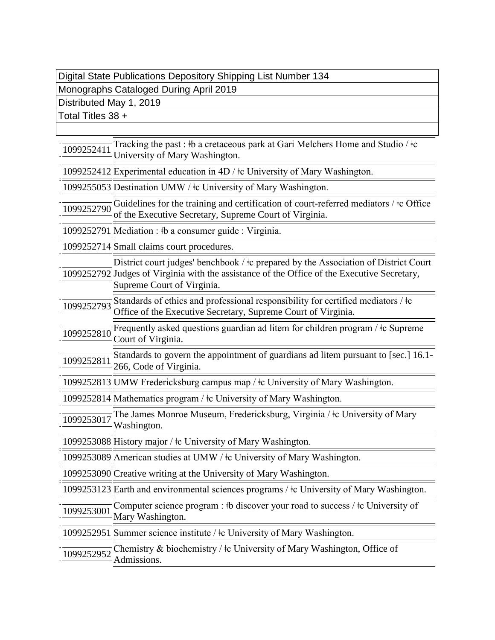## Digital State Publications Depository Shipping List Number 134

Monographs Cataloged During April 2019

Distributed May 1, 2019

Total Titles 38 +

 $\frac{1099252411}{1099252411}$  Tracking the past :  $\frac{1}{2}$  b a cretaceous park at Gari Melchers Home and Studio / $\frac{1}{2}$ c University of Mary Washington.

1099252412 Experimental education in 4D / ǂc University of Mary Washington.

1099255053 Destination UMW / ǂc University of Mary Washington.

 $\frac{1099252790}{1099252790}$  Guidelines for the training and certification of court-referred mediators /  $\frac{1}{2}$ c Office of the Executive Secretary, Supreme Court of Virginia.

1099252791 Mediation : ǂb a consumer guide : Virginia.

1099252714 Small claims court procedures.

1099252792 Judges of Virginia with the assistance of the Office of the Executive Secretary, District court judges' benchbook /  $\pm c$  prepared by the Association of District Court Supreme Court of Virginia.

 $\frac{1099252793}{1099252793}$  Standards of ethics and professional responsibility for certified mediators /  $\pm c$ Office of the Executive Secretary, Supreme Court of Virginia.

 $\frac{1099252810}{1099252810}$  Frequently asked questions guardian ad litem for children program /  $\pm c$  Supreme Court of Virginia.

1099252811 Standards to govern the appointment of guardians ad litem pursuant to [sec.] 16.1-<br>1099252811 266 G - L - SV: 266, Code of Virginia.

1099252813 UMW Fredericksburg campus map / ǂc University of Mary Washington.

1099252814 Mathematics program / ǂc University of Mary Washington.

 $1099253017$  The James Monroe Museum, Fredericksburg, Virginia /  $\pm$ c University of Mary Washington.

1099253088 History major / ǂc University of Mary Washington.

1099253089 American studies at UMW / ǂc University of Mary Washington.

1099253090 Creative writing at the University of Mary Washington.

1099253123 Earth and environmental sciences programs / ǂc University of Mary Washington.

Computer science program :  $\frac{1}{2}$ b discover your road to success /  $\frac{1}{2}$ c University of  $\frac{1099253001}{\text{Mary Washington}}$ 

1099252951 Summer science institute / ǂc University of Mary Washington.

 $\frac{1099252952}{1099252952}$  Chemistry & biochemistry /  $\frac{1}{2}$  University of Mary Washington, Office of Admissions.